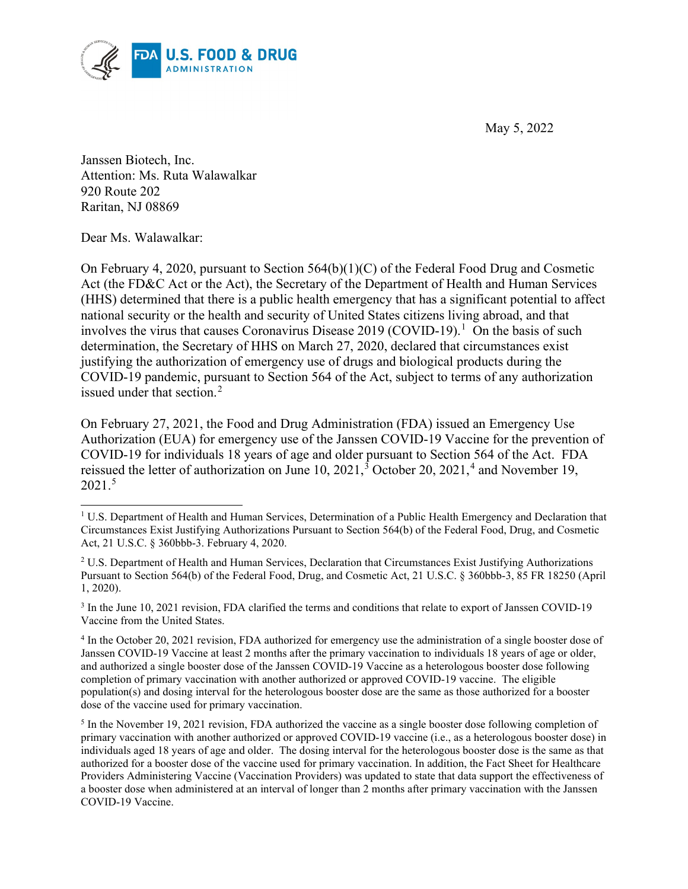May 5, 2022



Janssen Biotech, Inc. Attention: Ms. Ruta Walawalkar 920 Route 202 Raritan, NJ 08869

Dear Ms. Walawalkar:

On February 4, 2020, pursuant to Section 564(b)(1)(C) of the Federal Food Drug and Cosmetic Act (the FD&C Act or the Act), the Secretary of the Department of Health and Human Services (HHS) determined that there is a public health emergency that has a significant potential to affect national security or the health and security of United States citizens living abroad, and that involves the virus that causes Coronavirus Disease 2019 (COVID-19). [1](#page-0-0) On the basis of such determination, the Secretary of HHS on March 27, 2020, declared that circumstances exist justifying the authorization of emergency use of drugs and biological products during the COVID-19 pandemic, pursuant to Section 564 of the Act, subject to terms of any authorization issued under that section.<sup>[2](#page-0-1)</sup>

On February 27, 2021, the Food and Drug Administration (FDA) issued an Emergency Use Authorization (EUA) for emergency use of the Janssen COVID-19 Vaccine for the prevention of COVID-19 for individuals 18 years of age and older pursuant to Section 564 of the Act. FDA reissued the letter of authorization on June 10, 2021,<sup>[3](#page-0-2)</sup> October 20, 2021,<sup>[4](#page-0-3)</sup> and November 19, 2021.[5](#page-0-4)

<span id="page-0-2"></span><sup>3</sup> In the June 10, 2021 revision, FDA clarified the terms and conditions that relate to export of Janssen COVID-19 Vaccine from the United States.

<span id="page-0-0"></span><sup>&</sup>lt;sup>1</sup> U.S. Department of Health and Human Services, Determination of a Public Health Emergency and Declaration that Circumstances Exist Justifying Authorizations Pursuant to Section 564(b) of the Federal Food, Drug, and Cosmetic Act, 21 U.S.C. § 360bbb-3. February 4, 2020.

<span id="page-0-1"></span><sup>2</sup> U.S. Department of Health and Human Services, Declaration that Circumstances Exist Justifying Authorizations Pursuant to Section 564(b) of the Federal Food, Drug, and Cosmetic Act, 21 U.S.C. § 360bbb-3, 85 FR 18250 (April 1, 2020).

<span id="page-0-3"></span><sup>4</sup> In the October 20, 2021 revision, FDA authorized for emergency use the administration of a single booster dose of Janssen COVID-19 Vaccine at least 2 months after the primary vaccination to individuals 18 years of age or older, and authorized a single booster dose of the Janssen COVID-19 Vaccine as a heterologous booster dose following completion of primary vaccination with another authorized or approved COVID-19 vaccine. The eligible population(s) and dosing interval for the heterologous booster dose are the same as those authorized for a booster dose of the vaccine used for primary vaccination.

<span id="page-0-4"></span><sup>&</sup>lt;sup>5</sup> In the November 19, 2021 revision, FDA authorized the vaccine as a single booster dose following completion of primary vaccination with another authorized or approved COVID-19 vaccine (i.e., as a heterologous booster dose) in individuals aged 18 years of age and older. The dosing interval for the heterologous booster dose is the same as that authorized for a booster dose of the vaccine used for primary vaccination. In addition, the Fact Sheet for Healthcare Providers Administering Vaccine (Vaccination Providers) was updated to state that data support the effectiveness of a booster dose when administered at an interval of longer than 2 months after primary vaccination with the Janssen COVID-19 Vaccine.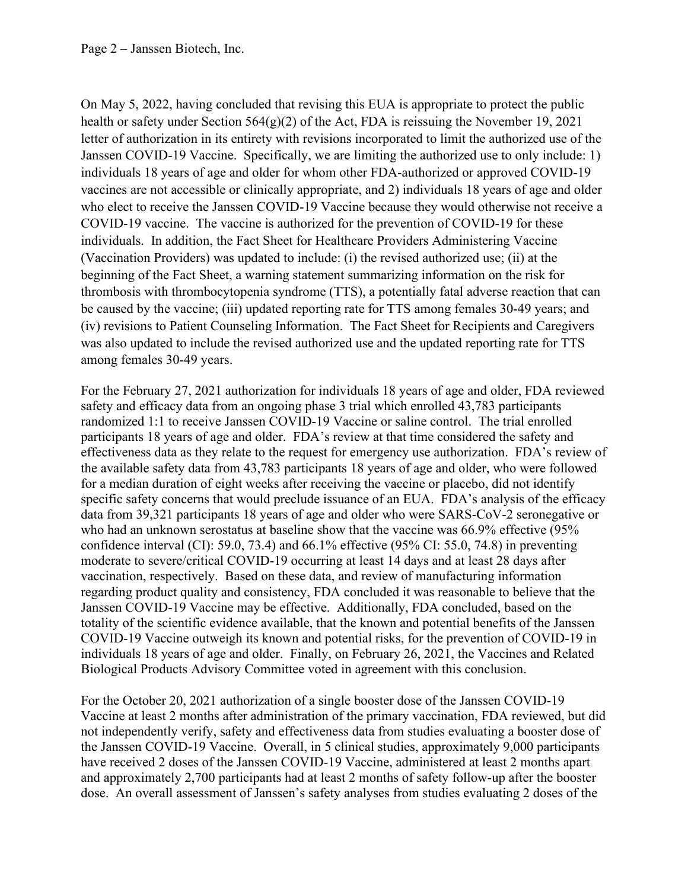On May 5, 2022, having concluded that revising this EUA is appropriate to protect the public health or safety under Section  $564(g)(2)$  of the Act, FDA is reissuing the November 19, 2021 letter of authorization in its entirety with revisions incorporated to limit the authorized use of the Janssen COVID-19 Vaccine. Specifically, we are limiting the authorized use to only include: 1) individuals 18 years of age and older for whom other FDA-authorized or approved COVID-19 vaccines are not accessible or clinically appropriate, and 2) individuals 18 years of age and older who elect to receive the Janssen COVID-19 Vaccine because they would otherwise not receive a COVID-19 vaccine. The vaccine is authorized for the prevention of COVID-19 for these individuals. In addition, the Fact Sheet for Healthcare Providers Administering Vaccine (Vaccination Providers) was updated to include: (i) the revised authorized use; (ii) at the beginning of the Fact Sheet, a warning statement summarizing information on the risk for thrombosis with thrombocytopenia syndrome (TTS), a potentially fatal adverse reaction that can be caused by the vaccine; (iii) updated reporting rate for TTS among females 30-49 years; and (iv) revisions to Patient Counseling Information. The Fact Sheet for Recipients and Caregivers was also updated to include the revised authorized use and the updated reporting rate for TTS among females 30-49 years.

For the February 27, 2021 authorization for individuals 18 years of age and older, FDA reviewed safety and efficacy data from an ongoing phase 3 trial which enrolled 43,783 participants randomized 1:1 to receive Janssen COVID-19 Vaccine or saline control. The trial enrolled participants 18 years of age and older. FDA's review at that time considered the safety and effectiveness data as they relate to the request for emergency use authorization. FDA's review of the available safety data from 43,783 participants 18 years of age and older, who were followed for a median duration of eight weeks after receiving the vaccine or placebo, did not identify specific safety concerns that would preclude issuance of an EUA. FDA's analysis of the efficacy data from 39,321 participants 18 years of age and older who were SARS-CoV-2 seronegative or who had an unknown serostatus at baseline show that the vaccine was 66.9% effective (95% confidence interval (CI): 59.0, 73.4) and 66.1% effective (95% CI: 55.0, 74.8) in preventing moderate to severe/critical COVID-19 occurring at least 14 days and at least 28 days after vaccination, respectively. Based on these data, and review of manufacturing information regarding product quality and consistency, FDA concluded it was reasonable to believe that the Janssen COVID-19 Vaccine may be effective. Additionally, FDA concluded, based on the totality of the scientific evidence available, that the known and potential benefits of the Janssen COVID‑19 Vaccine outweigh its known and potential risks, for the prevention of COVID-19 in individuals 18 years of age and older. Finally, on February 26, 2021, the Vaccines and Related Biological Products Advisory Committee voted in agreement with this conclusion.

For the October 20, 2021 authorization of a single booster dose of the Janssen COVID-19 Vaccine at least 2 months after administration of the primary vaccination, FDA reviewed, but did not independently verify, safety and effectiveness data from studies evaluating a booster dose of the Janssen COVID-19 Vaccine. Overall, in 5 clinical studies, approximately 9,000 participants have received 2 doses of the Janssen COVID-19 Vaccine, administered at least 2 months apart and approximately 2,700 participants had at least 2 months of safety follow-up after the booster dose. An overall assessment of Janssen's safety analyses from studies evaluating 2 doses of the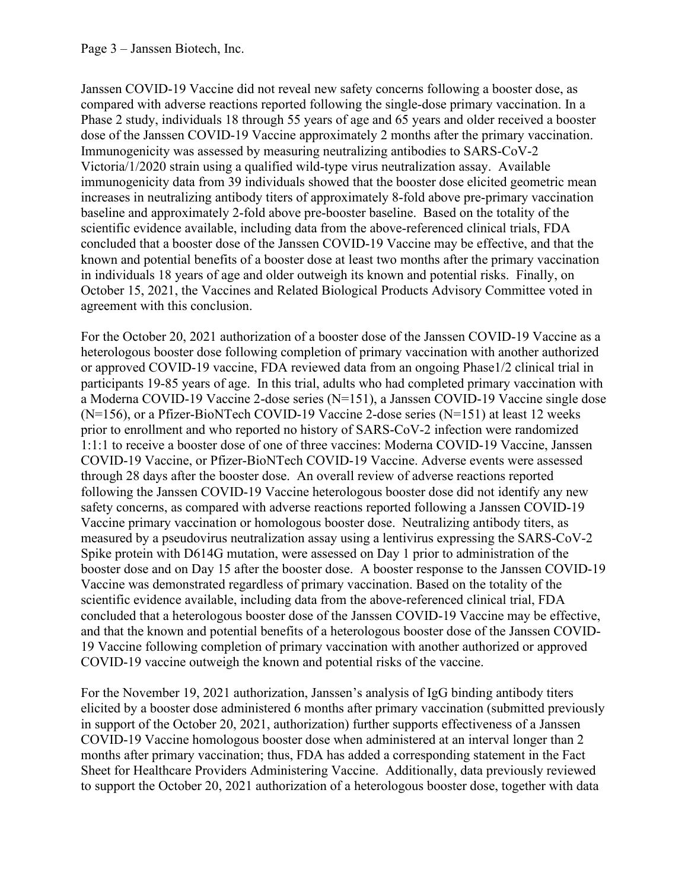Janssen COVID-19 Vaccine did not reveal new safety concerns following a booster dose, as compared with adverse reactions reported following the single-dose primary vaccination. In a Phase 2 study, individuals 18 through 55 years of age and 65 years and older received a booster dose of the Janssen COVID-19 Vaccine approximately 2 months after the primary vaccination. Immunogenicity was assessed by measuring neutralizing antibodies to SARS-CoV-2 Victoria/1/2020 strain using a qualified wild-type virus neutralization assay. Available immunogenicity data from 39 individuals showed that the booster dose elicited geometric mean increases in neutralizing antibody titers of approximately 8-fold above pre-primary vaccination baseline and approximately 2-fold above pre-booster baseline. Based on the totality of the scientific evidence available, including data from the above-referenced clinical trials, FDA concluded that a booster dose of the Janssen COVID-19 Vaccine may be effective, and that the known and potential benefits of a booster dose at least two months after the primary vaccination in individuals 18 years of age and older outweigh its known and potential risks. Finally, on October 15, 2021, the Vaccines and Related Biological Products Advisory Committee voted in agreement with this conclusion.

For the October 20, 2021 authorization of a booster dose of the Janssen COVID-19 Vaccine as a heterologous booster dose following completion of primary vaccination with another authorized or approved COVID-19 vaccine, FDA reviewed data from an ongoing Phase1/2 clinical trial in participants 19-85 years of age. In this trial, adults who had completed primary vaccination with a Moderna COVID-19 Vaccine 2-dose series (N=151), a Janssen COVID-19 Vaccine single dose  $(N=156)$ , or a Pfizer-BioNTech COVID-19 Vaccine 2-dose series  $(N=151)$  at least 12 weeks prior to enrollment and who reported no history of SARS-CoV-2 infection were randomized 1:1:1 to receive a booster dose of one of three vaccines: Moderna COVID-19 Vaccine, Janssen COVID-19 Vaccine, or Pfizer-BioNTech COVID-19 Vaccine. Adverse events were assessed through 28 days after the booster dose. An overall review of adverse reactions reported following the Janssen COVID-19 Vaccine heterologous booster dose did not identify any new safety concerns, as compared with adverse reactions reported following a Janssen COVID-19 Vaccine primary vaccination or homologous booster dose. Neutralizing antibody titers, as measured by a pseudovirus neutralization assay using a lentivirus expressing the SARS-CoV-2 Spike protein with D614G mutation, were assessed on Day 1 prior to administration of the booster dose and on Day 15 after the booster dose. A booster response to the Janssen COVID-19 Vaccine was demonstrated regardless of primary vaccination. Based on the totality of the scientific evidence available, including data from the above-referenced clinical trial, FDA concluded that a heterologous booster dose of the Janssen COVID-19 Vaccine may be effective, and that the known and potential benefits of a heterologous booster dose of the Janssen COVID-19 Vaccine following completion of primary vaccination with another authorized or approved COVID-19 vaccine outweigh the known and potential risks of the vaccine.

For the November 19, 2021 authorization, Janssen's analysis of IgG binding antibody titers elicited by a booster dose administered 6 months after primary vaccination (submitted previously in support of the October 20, 2021, authorization) further supports effectiveness of a Janssen COVID-19 Vaccine homologous booster dose when administered at an interval longer than 2 months after primary vaccination; thus, FDA has added a corresponding statement in the Fact Sheet for Healthcare Providers Administering Vaccine. Additionally, data previously reviewed to support the October 20, 2021 authorization of a heterologous booster dose, together with data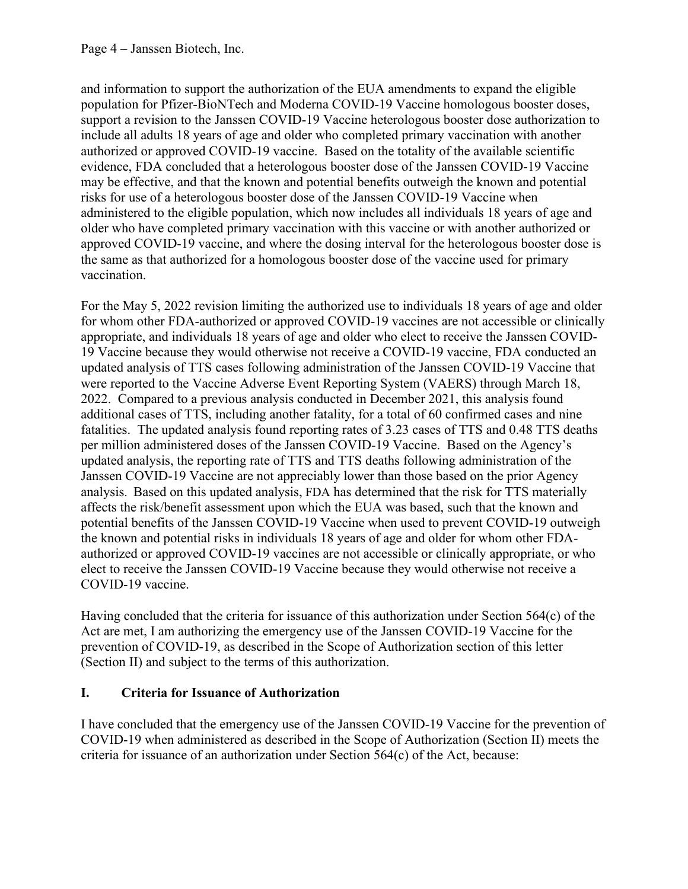and information to support the authorization of the EUA amendments to expand the eligible population for Pfizer-BioNTech and Moderna COVID-19 Vaccine homologous booster doses, support a revision to the Janssen COVID-19 Vaccine heterologous booster dose authorization to include all adults 18 years of age and older who completed primary vaccination with another authorized or approved COVID-19 vaccine. Based on the totality of the available scientific evidence, FDA concluded that a heterologous booster dose of the Janssen COVID-19 Vaccine may be effective, and that the known and potential benefits outweigh the known and potential risks for use of a heterologous booster dose of the Janssen COVID-19 Vaccine when administered to the eligible population, which now includes all individuals 18 years of age and older who have completed primary vaccination with this vaccine or with another authorized or approved COVID-19 vaccine, and where the dosing interval for the heterologous booster dose is the same as that authorized for a homologous booster dose of the vaccine used for primary vaccination.

For the May 5, 2022 revision limiting the authorized use to individuals 18 years of age and older for whom other FDA-authorized or approved COVID-19 vaccines are not accessible or clinically appropriate, and individuals 18 years of age and older who elect to receive the Janssen COVID-19 Vaccine because they would otherwise not receive a COVID-19 vaccine, FDA conducted an updated analysis of TTS cases following administration of the Janssen COVID-19 Vaccine that were reported to the Vaccine Adverse Event Reporting System (VAERS) through March 18, 2022. Compared to a previous analysis conducted in December 2021, this analysis found additional cases of TTS, including another fatality, for a total of 60 confirmed cases and nine fatalities. The updated analysis found reporting rates of 3.23 cases of TTS and 0.48 TTS deaths per million administered doses of the Janssen COVID-19 Vaccine. Based on the Agency's updated analysis, the reporting rate of TTS and TTS deaths following administration of the Janssen COVID-19 Vaccine are not appreciably lower than those based on the prior Agency analysis. Based on this updated analysis, FDA has determined that the risk for TTS materially affects the risk/benefit assessment upon which the EUA was based, such that the known and potential benefits of the Janssen COVID-19 Vaccine when used to prevent COVID-19 outweigh the known and potential risks in individuals 18 years of age and older for whom other FDAauthorized or approved COVID-19 vaccines are not accessible or clinically appropriate, or who elect to receive the Janssen COVID-19 Vaccine because they would otherwise not receive a COVID-19 vaccine.

Having concluded that the criteria for issuance of this authorization under Section 564(c) of the Act are met. I am authorizing the emergency use of the Janssen COVID-19 Vaccine for the prevention of COVID-19, as described in the Scope of Authorization section of this letter (Section II) and subject to the terms of this authorization.

# **I. Criteria for Issuance of Authorization**

I have concluded that the emergency use of the Janssen COVID‑19 Vaccine for the prevention of COVID-19 when administered as described in the Scope of Authorization (Section II) meets the criteria for issuance of an authorization under Section 564(c) of the Act, because: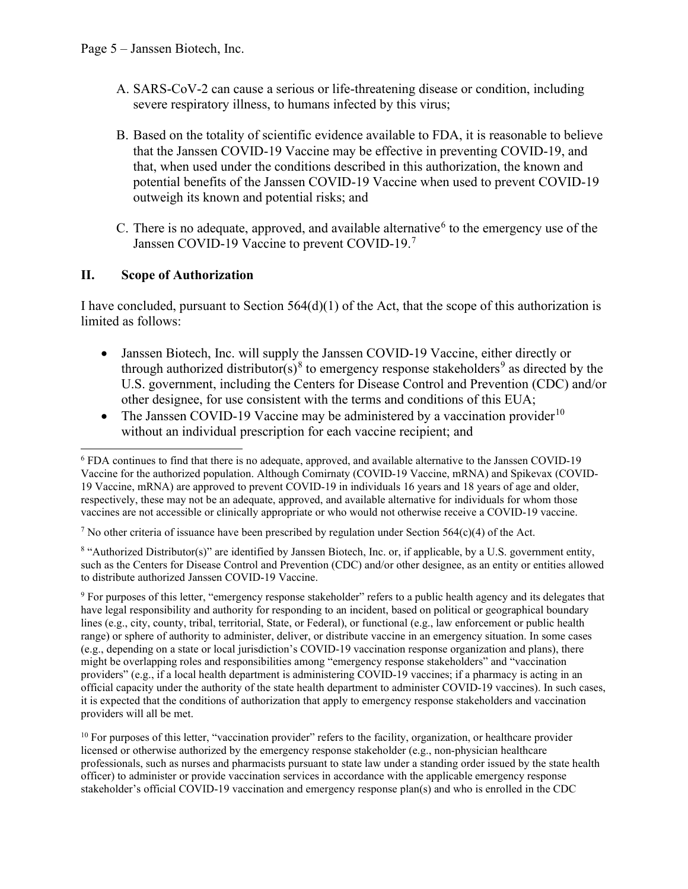- A. SARS-CoV-2 can cause a serious or life-threatening disease or condition, including severe respiratory illness, to humans infected by this virus;
- B. Based on the totality of scientific evidence available to FDA, it is reasonable to believe that the Janssen COVID‑19 Vaccine may be effective in preventing COVID-19, and that, when used under the conditions described in this authorization, the known and potential benefits of the Janssen COVID‑19 Vaccine when used to prevent COVID-19 outweigh its known and potential risks; and
- C. There is no adequate, approved, and available alternative<sup>[6](#page-4-0)</sup> to the emergency use of the Janssen COVID-19 Vaccine to prevent COVID-19.<sup>[7](#page-4-1)</sup>

## **II. Scope of Authorization**

I have concluded, pursuant to Section 564(d)(1) of the Act, that the scope of this authorization is limited as follows:

- Janssen Biotech, Inc. will supply the Janssen COVID-19 Vaccine, either directly or through authorized distributor(s)<sup>[8](#page-4-2)</sup> to emergency response stakeholders<sup>[9](#page-4-3)</sup> as directed by the U.S. government, including the Centers for Disease Control and Prevention (CDC) and/or other designee, for use consistent with the terms and conditions of this EUA;
- The Janssen COVID-19 Vaccine may be administered by a vaccination provider<sup>[10](#page-4-4)</sup> without an individual prescription for each vaccine recipient; and

<span id="page-4-2"></span><sup>8</sup> "Authorized Distributor(s)" are identified by Janssen Biotech, Inc. or, if applicable, by a U.S. government entity, such as the Centers for Disease Control and Prevention (CDC) and/or other designee, as an entity or entities allowed to distribute authorized Janssen COVID-19 Vaccine.

<span id="page-4-3"></span><sup>9</sup> For purposes of this letter, "emergency response stakeholder" refers to a public health agency and its delegates that have legal responsibility and authority for responding to an incident, based on political or geographical boundary lines (e.g., city, county, tribal, territorial, State, or Federal), or functional (e.g., law enforcement or public health range) or sphere of authority to administer, deliver, or distribute vaccine in an emergency situation. In some cases (e.g., depending on a state or local jurisdiction's COVID-19 vaccination response organization and plans), there might be overlapping roles and responsibilities among "emergency response stakeholders" and "vaccination providers" (e.g., if a local health department is administering COVID-19 vaccines; if a pharmacy is acting in an official capacity under the authority of the state health department to administer COVID-19 vaccines). In such cases, it is expected that the conditions of authorization that apply to emergency response stakeholders and vaccination providers will all be met.

<span id="page-4-4"></span> $10$  For purposes of this letter, "vaccination provider" refers to the facility, organization, or healthcare provider licensed or otherwise authorized by the emergency response stakeholder (e.g., non-physician healthcare professionals, such as nurses and pharmacists pursuant to state law under a standing order issued by the state health officer) to administer or provide vaccination services in accordance with the applicable emergency response stakeholder's official COVID-19 vaccination and emergency response plan(s) and who is enrolled in the CDC

<span id="page-4-0"></span><sup>6</sup> FDA continues to find that there is no adequate, approved, and available alternative to the Janssen COVID-19 Vaccine for the authorized population. Although Comirnaty (COVID-19 Vaccine, mRNA) and Spikevax (COVID-19 Vaccine, mRNA) are approved to prevent COVID-19 in individuals 16 years and 18 years of age and older, respectively, these may not be an adequate, approved, and available alternative for individuals for whom those vaccines are not accessible or clinically appropriate or who would not otherwise receive a COVID-19 vaccine.

<span id="page-4-1"></span><sup>&</sup>lt;sup>7</sup> No other criteria of issuance have been prescribed by regulation under Section 564(c)(4) of the Act.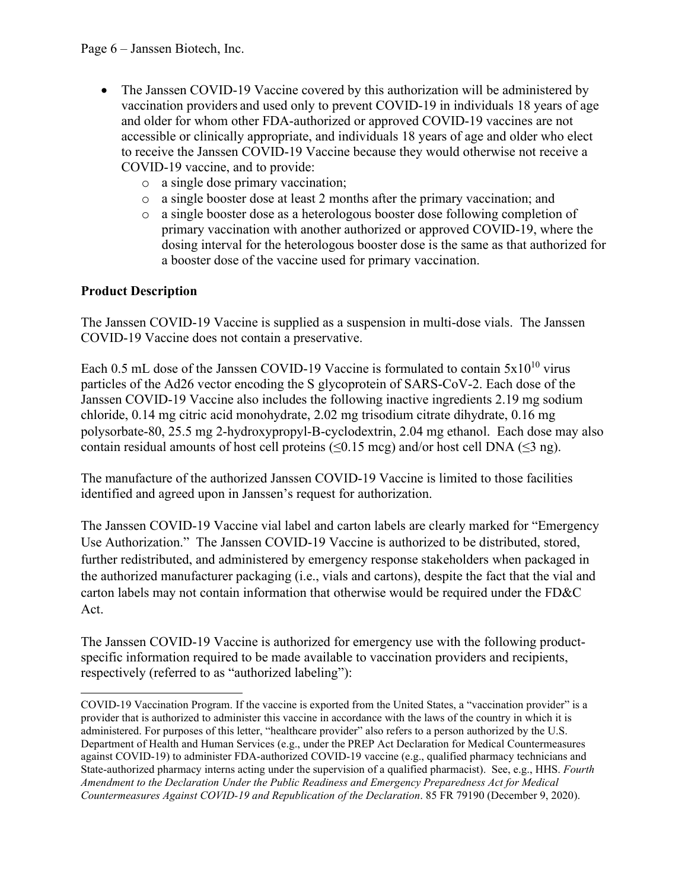- The Janssen COVID-19 Vaccine covered by this authorization will be administered by vaccination providers and used only to prevent COVID-19 in individuals 18 years of age and older for whom other FDA-authorized or approved COVID-19 vaccines are not accessible or clinically appropriate, and individuals 18 years of age and older who elect to receive the Janssen COVID-19 Vaccine because they would otherwise not receive a COVID-19 vaccine, and to provide:
	- o a single dose primary vaccination;
	- o a single booster dose at least 2 months after the primary vaccination; and
	- o a single booster dose as a heterologous booster dose following completion of primary vaccination with another authorized or approved COVID-19, where the dosing interval for the heterologous booster dose is the same as that authorized for a booster dose of the vaccine used for primary vaccination.

# **Product Description**

The Janssen COVID-19 Vaccine is supplied as a suspension in multi-dose vials. The Janssen COVID-19 Vaccine does not contain a preservative.

Each 0.5 mL dose of the Janssen COVID-19 Vaccine is formulated to contain  $5x10^{10}$  virus particles of the Ad26 vector encoding the S glycoprotein of SARS-CoV-2. Each dose of the Janssen COVID-19 Vaccine also includes the following inactive ingredients 2.19 mg sodium chloride, 0.14 mg citric acid monohydrate, 2.02 mg trisodium citrate dihydrate, 0.16 mg polysorbate-80, 25.5 mg 2-hydroxypropyl-Β-cyclodextrin, 2.04 mg ethanol. Each dose may also contain residual amounts of host cell proteins (≤0.15 mcg) and/or host cell DNA (≤3 ng).

The manufacture of the authorized Janssen COVID-19 Vaccine is limited to those facilities identified and agreed upon in Janssen's request for authorization.

The Janssen COVID-19 Vaccine vial label and carton labels are clearly marked for "Emergency Use Authorization." The Janssen COVID-19 Vaccine is authorized to be distributed, stored, further redistributed, and administered by emergency response stakeholders when packaged in the authorized manufacturer packaging (i.e., vials and cartons), despite the fact that the vial and carton labels may not contain information that otherwise would be required under the FD&C Act.

The Janssen COVID-19 Vaccine is authorized for emergency use with the following productspecific information required to be made available to vaccination providers and recipients, respectively (referred to as "authorized labeling"):

COVID-19 Vaccination Program. If the vaccine is exported from the United States, a "vaccination provider" is a provider that is authorized to administer this vaccine in accordance with the laws of the country in which it is administered. For purposes of this letter, "healthcare provider" also refers to a person authorized by the U.S. Department of Health and Human Services (e.g., under the PREP Act Declaration for Medical Countermeasures against COVID-19) to administer FDA-authorized COVID-19 vaccine (e.g., qualified pharmacy technicians and State-authorized pharmacy interns acting under the supervision of a qualified pharmacist). See, e.g., HHS. *Fourth Amendment to the Declaration Under the Public Readiness and Emergency Preparedness Act for Medical Countermeasures Against COVID-19 and Republication of the Declaration*. 85 FR 79190 (December 9, 2020).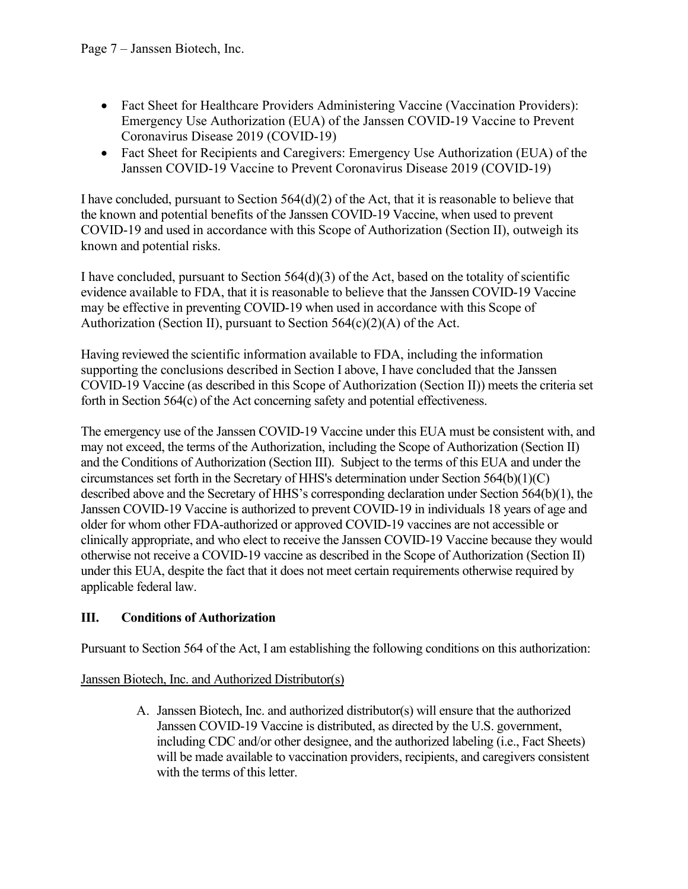- Fact Sheet for Healthcare Providers Administering Vaccine (Vaccination Providers): Emergency Use Authorization (EUA) of the Janssen COVID-19 Vaccine to Prevent Coronavirus Disease 2019 (COVID-19)
- Fact Sheet for Recipients and Caregivers: Emergency Use Authorization (EUA) of the Janssen COVID-19 Vaccine to Prevent Coronavirus Disease 2019 (COVID-19)

I have concluded, pursuant to Section  $564(d)(2)$  of the Act, that it is reasonable to believe that the known and potential benefits of the Janssen COVID-19 Vaccine, when used to prevent COVID-19 and used in accordance with this Scope of Authorization (Section II), outweigh its known and potential risks.

I have concluded, pursuant to Section  $564(d)(3)$  of the Act, based on the totality of scientific evidence available to FDA, that it is reasonable to believe that the Janssen COVID-19 Vaccine may be effective in preventing COVID-19 when used in accordance with this Scope of Authorization (Section II), pursuant to Section  $564(c)(2)(A)$  of the Act.

Having reviewed the scientific information available to FDA, including the information supporting the conclusions described in Section I above, I have concluded that the Janssen COVID‑19 Vaccine (as described in this Scope of Authorization (Section II)) meets the criteria set forth in Section 564(c) of the Act concerning safety and potential effectiveness.

The emergency use of the Janssen COVID-19 Vaccine under this EUA must be consistent with, and may not exceed, the terms of the Authorization, including the Scope of Authorization (Section II) and the Conditions of Authorization (Section III). Subject to the terms of this EUA and under the circumstances set forth in the Secretary of HHS's determination under Section 564(b)(1)(C) described above and the Secretary of HHS's corresponding declaration under Section 564(b)(1), the Janssen COVID-19 Vaccine is authorized to prevent COVID-19 in individuals 18 years of age and older for whom other FDA-authorized or approved COVID-19 vaccines are not accessible or clinically appropriate, and who elect to receive the Janssen COVID-19 Vaccine because they would otherwise not receive a COVID-19 vaccine as described in the Scope of Authorization (Section II) under this EUA, despite the fact that it does not meet certain requirements otherwise required by applicable federal law.

# **III. Conditions of Authorization**

Pursuant to Section 564 of the Act, I am establishing the following conditions on this authorization:

# Janssen Biotech, Inc. and Authorized Distributor(s)

A. Janssen Biotech, Inc. and authorized distributor(s) will ensure that the authorized Janssen COVID-19 Vaccine is distributed, as directed by the U.S. government, including CDC and/or other designee, and the authorized labeling (i.e., Fact Sheets) will be made available to vaccination providers, recipients, and caregivers consistent with the terms of this letter.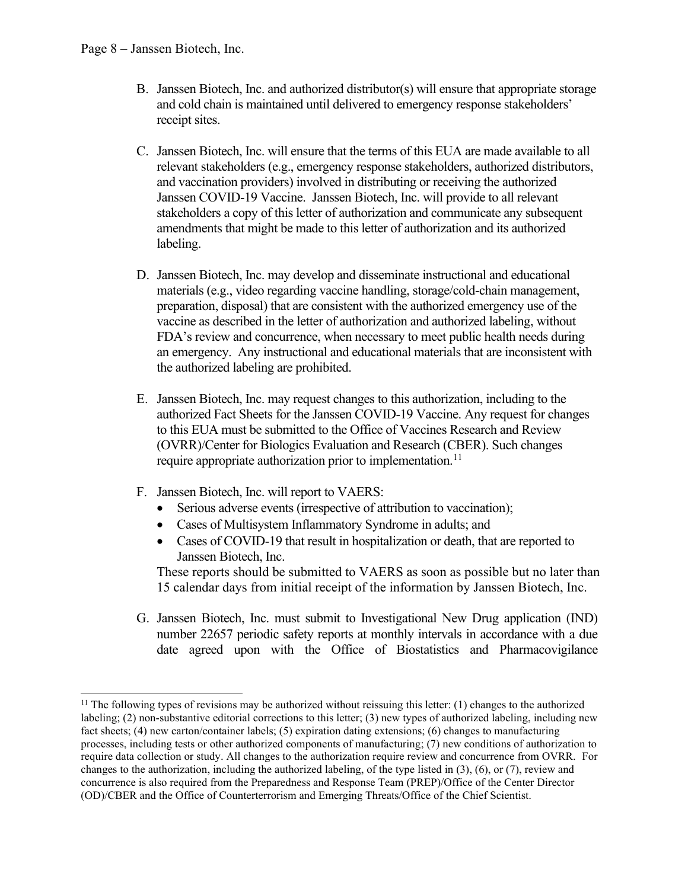- B. Janssen Biotech, Inc. and authorized distributor(s) will ensure that appropriate storage and cold chain is maintained until delivered to emergency response stakeholders' receipt sites.
- C. Janssen Biotech, Inc. will ensure that the terms of this EUA are made available to all relevant stakeholders (e.g., emergency response stakeholders, authorized distributors, and vaccination providers) involved in distributing or receiving the authorized Janssen COVID-19 Vaccine. Janssen Biotech, Inc. will provide to all relevant stakeholders a copy of this letter of authorization and communicate any subsequent amendments that might be made to this letter of authorization and its authorized labeling.
- D. Janssen Biotech, Inc. may develop and disseminate instructional and educational materials (e.g., video regarding vaccine handling, storage/cold-chain management, preparation, disposal) that are consistent with the authorized emergency use of the vaccine as described in the letter of authorization and authorized labeling, without FDA's review and concurrence, when necessary to meet public health needs during an emergency. Any instructional and educational materials that are inconsistent with the authorized labeling are prohibited.
- E. Janssen Biotech, Inc. may request changes to this authorization, including to the authorized Fact Sheets for the Janssen COVID-19 Vaccine. Any request for changes to this EUA must be submitted to the Office of Vaccines Research and Review (OVRR)/Center for Biologics Evaluation and Research (CBER). Such changes require appropriate authorization prior to implementation.<sup>[11](#page-7-0)</sup>
- F. Janssen Biotech, Inc. will report to VAERS:
	- Serious adverse events (irrespective of attribution to vaccination);
	- Cases of Multisystem Inflammatory Syndrome in adults; and
	- Cases of COVID-19 that result in hospitalization or death, that are reported to Janssen Biotech, Inc.

These reports should be submitted to VAERS as soon as possible but no later than 15 calendar days from initial receipt of the information by Janssen Biotech, Inc.

G. Janssen Biotech, Inc. must submit to Investigational New Drug application (IND) number 22657 periodic safety reports at monthly intervals in accordance with a due date agreed upon with the Office of Biostatistics and Pharmacovigilance

<span id="page-7-0"></span> $11$  The following types of revisions may be authorized without reissuing this letter: (1) changes to the authorized labeling; (2) non-substantive editorial corrections to this letter; (3) new types of authorized labeling, including new fact sheets; (4) new carton/container labels; (5) expiration dating extensions; (6) changes to manufacturing processes, including tests or other authorized components of manufacturing; (7) new conditions of authorization to require data collection or study. All changes to the authorization require review and concurrence from OVRR. For changes to the authorization, including the authorized labeling, of the type listed in (3), (6), or (7), review and concurrence is also required from the Preparedness and Response Team (PREP)/Office of the Center Director (OD)/CBER and the Office of Counterterrorism and Emerging Threats/Office of the Chief Scientist.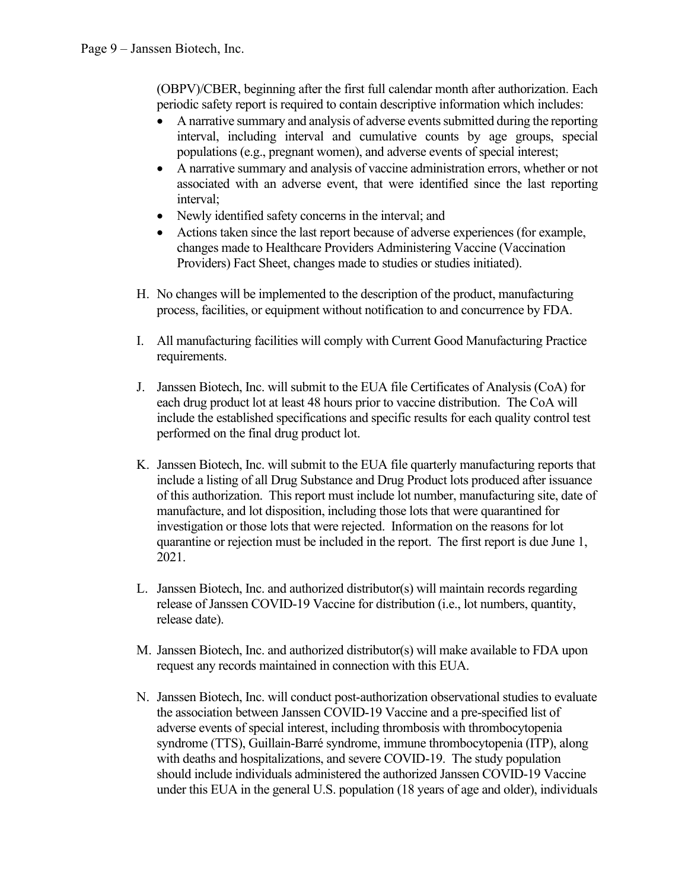(OBPV)/CBER, beginning after the first full calendar month after authorization. Each periodic safety report is required to contain descriptive information which includes:

- A narrative summary and analysis of adverse events submitted during the reporting interval, including interval and cumulative counts by age groups, special populations (e.g., pregnant women), and adverse events of special interest;
- A narrative summary and analysis of vaccine administration errors, whether or not associated with an adverse event, that were identified since the last reporting interval;
- Newly identified safety concerns in the interval; and
- Actions taken since the last report because of adverse experiences (for example, changes made to Healthcare Providers Administering Vaccine (Vaccination Providers) Fact Sheet, changes made to studies or studies initiated).
- H. No changes will be implemented to the description of the product, manufacturing process, facilities, or equipment without notification to and concurrence by FDA.
- I. All manufacturing facilities will comply with Current Good Manufacturing Practice requirements.
- J. Janssen Biotech, Inc. will submit to the EUA file Certificates of Analysis (CoA) for each drug product lot at least 48 hours prior to vaccine distribution. The CoA will include the established specifications and specific results for each quality control test performed on the final drug product lot.
- K. Janssen Biotech, Inc. will submit to the EUA file quarterly manufacturing reports that include a listing of all Drug Substance and Drug Product lots produced after issuance of this authorization. This report must include lot number, manufacturing site, date of manufacture, and lot disposition, including those lots that were quarantined for investigation or those lots that were rejected. Information on the reasons for lot quarantine or rejection must be included in the report. The first report is due June 1, 2021.
- L. Janssen Biotech, Inc. and authorized distributor(s) will maintain records regarding release of Janssen COVID-19 Vaccine for distribution (i.e., lot numbers, quantity, release date).
- M. Janssen Biotech, Inc. and authorized distributor(s) will make available to FDA upon request any records maintained in connection with this EUA.
- N. Janssen Biotech, Inc. will conduct post-authorization observational studies to evaluate the association between Janssen COVID-19 Vaccine and a pre-specified list of adverse events of special interest, including thrombosis with thrombocytopenia syndrome (TTS), Guillain-Barré syndrome, immune thrombocytopenia (ITP), along with deaths and hospitalizations, and severe COVID-19. The study population should include individuals administered the authorized Janssen COVID-19 Vaccine under this EUA in the general U.S. population (18 years of age and older), individuals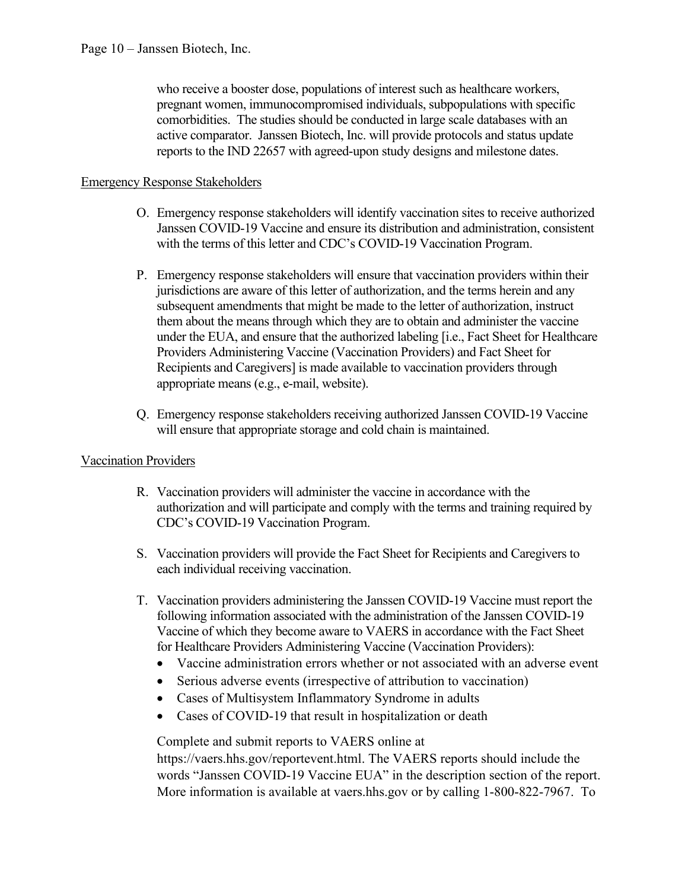who receive a booster dose, populations of interest such as healthcare workers, pregnant women, immunocompromised individuals, subpopulations with specific comorbidities. The studies should be conducted in large scale databases with an active comparator. Janssen Biotech, Inc. will provide protocols and status update reports to the IND 22657 with agreed-upon study designs and milestone dates.

#### Emergency Response Stakeholders

- O. Emergency response stakeholders will identify vaccination sites to receive authorized Janssen COVID-19 Vaccine and ensure its distribution and administration, consistent with the terms of this letter and CDC's COVID-19 Vaccination Program.
- P. Emergency response stakeholders will ensure that vaccination providers within their jurisdictions are aware of this letter of authorization, and the terms herein and any subsequent amendments that might be made to the letter of authorization, instruct them about the means through which they are to obtain and administer the vaccine under the EUA, and ensure that the authorized labeling [i.e., Fact Sheet for Healthcare Providers Administering Vaccine (Vaccination Providers) and Fact Sheet for Recipients and Caregivers] is made available to vaccination providers through appropriate means (e.g., e-mail, website).
- Q. Emergency response stakeholders receiving authorized Janssen COVID‑19 Vaccine will ensure that appropriate storage and cold chain is maintained.

## Vaccination Providers

- R. Vaccination providers will administer the vaccine in accordance with the authorization and will participate and comply with the terms and training required by CDC's COVID-19 Vaccination Program.
- S. Vaccination providers will provide the Fact Sheet for Recipients and Caregivers to each individual receiving vaccination.
- T. Vaccination providers administering the Janssen COVID‑19 Vaccine must report the following information associated with the administration of the Janssen COVID-19 Vaccine of which they become aware to VAERS in accordance with the Fact Sheet for Healthcare Providers Administering Vaccine (Vaccination Providers):
	- Vaccine administration errors whether or not associated with an adverse event
	- Serious adverse events (irrespective of attribution to vaccination)
	- Cases of Multisystem Inflammatory Syndrome in adults
	- Cases of COVID-19 that result in hospitalization or death

Complete and submit reports to VAERS online at

https://vaers.hhs.gov/reportevent.html. The VAERS reports should include the words "Janssen COVID-19 Vaccine EUA" in the description section of the report. More information is available at vaers.hhs.gov or by calling 1-800-822-7967. To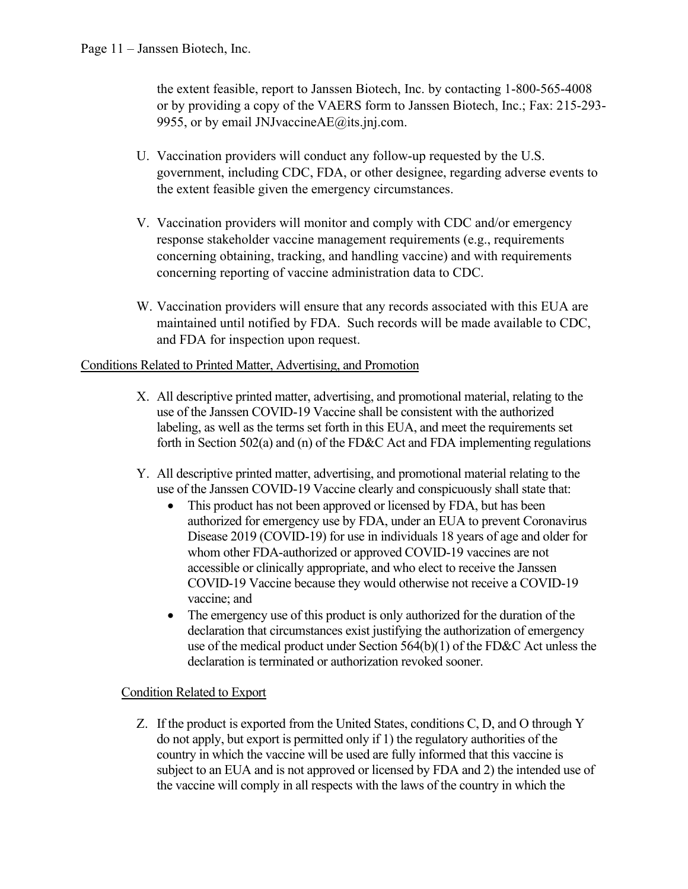the extent feasible, report to Janssen Biotech, Inc. by contacting 1-800-565-4008 or by providing a copy of the VAERS form to Janssen Biotech, Inc.; Fax: 215-293- 9955, or by email JNJvaccineAE@its.jnj.com.

- U. Vaccination providers will conduct any follow-up requested by the U.S. government, including CDC, FDA, or other designee, regarding adverse events to the extent feasible given the emergency circumstances.
- V. Vaccination providers will monitor and comply with CDC and/or emergency response stakeholder vaccine management requirements (e.g., requirements concerning obtaining, tracking, and handling vaccine) and with requirements concerning reporting of vaccine administration data to CDC.
- W. Vaccination providers will ensure that any records associated with this EUA are maintained until notified by FDA. Such records will be made available to CDC, and FDA for inspection upon request.

## Conditions Related to Printed Matter, Advertising, and Promotion

- X. All descriptive printed matter, advertising, and promotional material, relating to the use of the Janssen COVID‑19 Vaccine shall be consistent with the authorized labeling, as well as the terms set forth in this EUA, and meet the requirements set forth in Section 502(a) and (n) of the FD&C Act and FDA implementing regulations
- Y. All descriptive printed matter, advertising, and promotional material relating to the use of the Janssen COVID-19 Vaccine clearly and conspicuously shall state that:
	- This product has not been approved or licensed by FDA, but has been authorized for emergency use by FDA, under an EUA to prevent Coronavirus Disease 2019 (COVID-19) for use in individuals 18 years of age and older for whom other FDA-authorized or approved COVID-19 vaccines are not accessible or clinically appropriate, and who elect to receive the Janssen COVID-19 Vaccine because they would otherwise not receive a COVID-19 vaccine; and
	- The emergency use of this product is only authorized for the duration of the declaration that circumstances exist justifying the authorization of emergency use of the medical product under Section 564(b)(1) of the FD&C Act unless the declaration is terminated or authorization revoked sooner.

## Condition Related to Export

Z. If the product is exported from the United States, conditions C, D, and O through Y do not apply, but export is permitted only if 1) the regulatory authorities of the country in which the vaccine will be used are fully informed that this vaccine is subject to an EUA and is not approved or licensed by FDA and 2) the intended use of the vaccine will comply in all respects with the laws of the country in which the